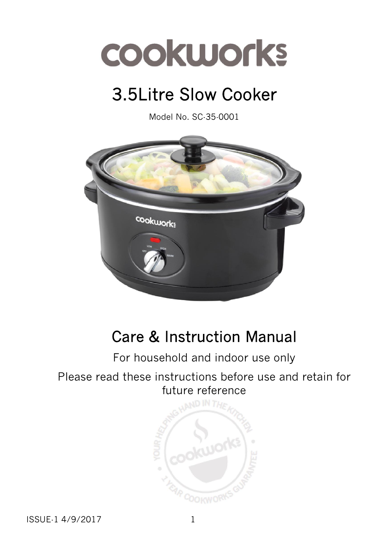# 3.5Litre Slow Cooker

Model No. SC-35-0001



# Care & Instruction Manual

# For household and indoor use only

# Please read these instructions before use and retain for future reference



ISSUE-1 4/9/2017 1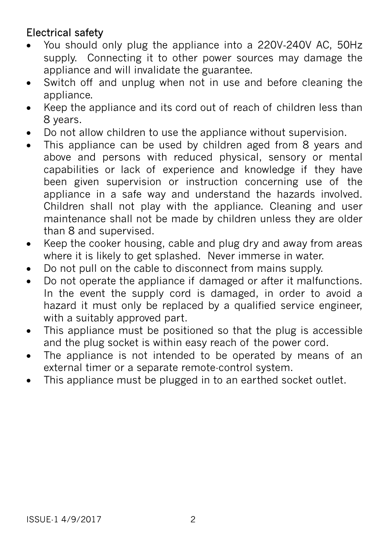# Electrical safety

- You should only plug the appliance into a 220V‐240V AC, 50Hz supply. Connecting it to other power sources may damage the appliance and will invalidate the guarantee.
- Switch off and unplug when not in use and before cleaning the appliance.
- Keep the appliance and its cord out of reach of children less than 8 years.
- Do not allow children to use the appliance without supervision.
- This appliance can be used by children aged from 8 years and above and persons with reduced physical, sensory or mental capabilities or lack of experience and knowledge if they have been given supervision or instruction concerning use of the appliance in a safe way and understand the hazards involved. Children shall not play with the appliance. Cleaning and user maintenance shall not be made by children unless they are older than 8 and supervised.
- Keep the cooker housing, cable and plug dry and away from areas where it is likely to get splashed. Never immerse in water.
- Do not pull on the cable to disconnect from mains supply.
- Do not operate the appliance if damaged or after it malfunctions. In the event the supply cord is damaged, in order to avoid a hazard it must only be replaced by a qualified service engineer, with a suitably approved part.
- This appliance must be positioned so that the plug is accessible and the plug socket is within easy reach of the power cord.
- The appliance is not intended to be operated by means of an external timer or a separate remote-control system.
- This appliance must be plugged in to an earthed socket outlet.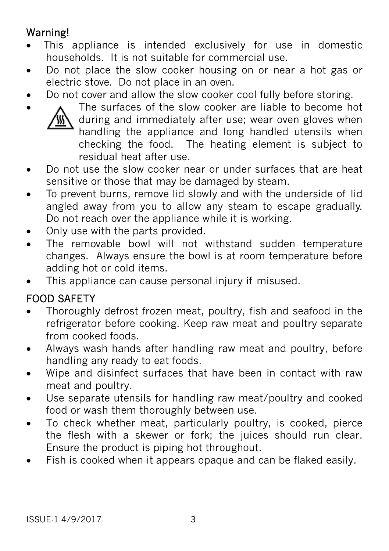# Warning!

- This appliance is intended exclusively for use in domestic households. It is not suitable for commercial use.
- Do not place the slow cooker housing on or near a hot gas or electric stove. Do not place in an oven.
- Do not cover and allow the slow cooker cool fully before storing.



 The surfaces of the slow cooker are liable to become hot during and immediately after use; wear oven gloves when handling the appliance and long handled utensils when checking the food. The heating element is subject to residual heat after use.

- Do not use the slow cooker near or under surfaces that are heat sensitive or those that may be damaged by steam.
- To prevent burns, remove lid slowly and with the underside of lid angled away from you to allow any steam to escape gradually. Do not reach over the appliance while it is working.
- Only use with the parts provided.
- The removable bowl will not withstand sudden temperature changes. Always ensure the bowl is at room temperature before adding hot or cold items.
- This appliance can cause personal injury if misused.

# FOOD SAFETY

- Thoroughly defrost frozen meat, poultry, fish and seafood in the refrigerator before cooking. Keep raw meat and poultry separate from cooked foods.
- Always wash hands after handling raw meat and poultry, before handling any ready to eat foods.
- Wipe and disinfect surfaces that have been in contact with raw meat and poultry.
- Use separate utensils for handling raw meat/poultry and cooked food or wash them thoroughly between use.
- To check whether meat, particularly poultry, is cooked, pierce the flesh with a skewer or fork; the juices should run clear. Ensure the product is piping hot throughout.
- Fish is cooked when it appears opaque and can be flaked easily.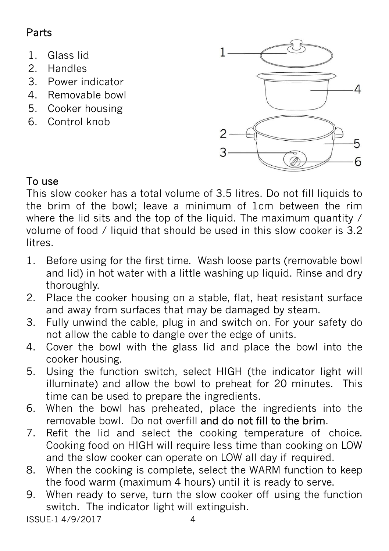# Parts

- 1. Glass lid
- 2. Handles
- 3. Power indicator
- 4. Removable bowl
- 5. Cooker housing
- 6. Control knob



This slow cooker has a total volume of 3.5 litres. Do not fill liquids to the brim of the bowl; leave a minimum of 1cm between the rim where the lid sits and the top of the liquid. The maximum quantity / volume of food / liquid that should be used in this slow cooker is 3.2 litres.

- 1. Before using for the first time. Wash loose parts (removable bowl and lid) in hot water with a little washing up liquid. Rinse and dry thoroughly.
- 2. Place the cooker housing on a stable, flat, heat resistant surface and away from surfaces that may be damaged by steam.
- 3. Fully unwind the cable, plug in and switch on. For your safety do not allow the cable to dangle over the edge of units.
- 4. Cover the bowl with the glass lid and place the bowl into the cooker housing.
- 5. Using the function switch, select HIGH (the indicator light will illuminate) and allow the bowl to preheat for 20 minutes. This time can be used to prepare the ingredients.
- 6. When the bowl has preheated, place the ingredients into the removable bowl. Do not overfill and do not fill to the brim.
- 7. Refit the lid and select the cooking temperature of choice. Cooking food on HIGH will require less time than cooking on LOW and the slow cooker can operate on LOW all day if required.
- 8. When the cooking is complete, select the WARM function to keep the food warm (maximum 4 hours) until it is ready to serve.
- 9. When ready to serve, turn the slow cooker off using the function switch. The indicator light will extinguish.

ISSUE-1 4/9/2017 4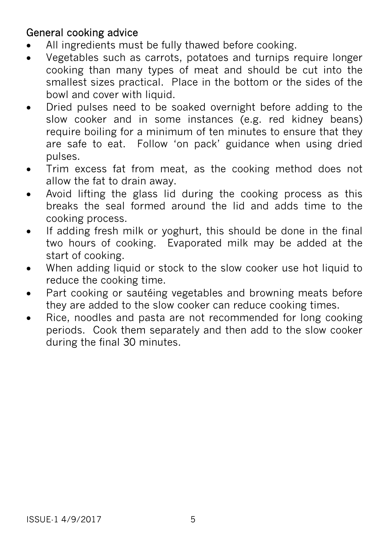## General cooking advice

- All ingredients must be fully thawed before cooking.
- Vegetables such as carrots, potatoes and turnips require longer cooking than many types of meat and should be cut into the smallest sizes practical. Place in the bottom or the sides of the bowl and cover with liquid.
- Dried pulses need to be soaked overnight before adding to the slow cooker and in some instances (e.g. red kidney beans) require boiling for a minimum of ten minutes to ensure that they are safe to eat. Follow 'on pack' guidance when using dried pulses.
- Trim excess fat from meat, as the cooking method does not allow the fat to drain away.
- Avoid lifting the glass lid during the cooking process as this breaks the seal formed around the lid and adds time to the cooking process.
- If adding fresh milk or yoghurt, this should be done in the final two hours of cooking. Evaporated milk may be added at the start of cooking.
- When adding liquid or stock to the slow cooker use hot liquid to reduce the cooking time.
- Part cooking or sautéing vegetables and browning meats before they are added to the slow cooker can reduce cooking times.
- Rice, noodles and pasta are not recommended for long cooking periods. Cook them separately and then add to the slow cooker during the final 30 minutes.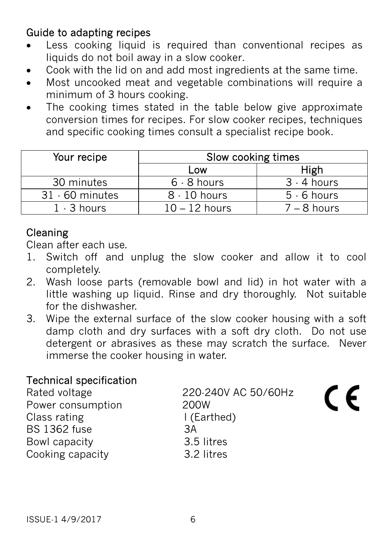## Guide to adapting recipes

- Less cooking liquid is required than conventional recipes as liquids do not boil away in a slow cooker.
- Cook with the lid on and add most ingredients at the same time.
- Most uncooked meat and vegetable combinations will require a minimum of 3 hours cooking.
- The cooking times stated in the table below give approximate conversion times for recipes. For slow cooker recipes, techniques and specific cooking times consult a specialist recipe book.

| Your recipe       | Slow cooking times |               |
|-------------------|--------------------|---------------|
|                   | Low                | High          |
| 30 minutes        | $6 - 8$ hours      | $3 - 4$ hours |
| $31 - 60$ minutes | $8 - 10$ hours     | $5 - 6$ hours |
| $1 - 3$ hours     | $10 - 12$ hours    | $7 - 8$ hours |

# Cleaning

Clean after each use.

- 1. Switch off and unplug the slow cooker and allow it to cool completely.
- 2. Wash loose parts (removable bowl and lid) in hot water with a little washing up liquid. Rinse and dry thoroughly. Not suitable for the dishwasher.
- 3. Wipe the external surface of the slow cooker housing with a soft damp cloth and dry surfaces with a soft dry cloth. Do not use detergent or abrasives as these may scratch the surface. Never immerse the cooker housing in water.

 $\epsilon$ 

### Technical specification

| Rated voltage       | 220-240V AC 50/60Hz |
|---------------------|---------------------|
| Power consumption   | <b>200W</b>         |
| Class rating        | I (Earthed)         |
| <b>BS 1362 fuse</b> | ЗΑ                  |
| Bowl capacity       | 3.5 litres          |
| Cooking capacity    | 3.2 litres          |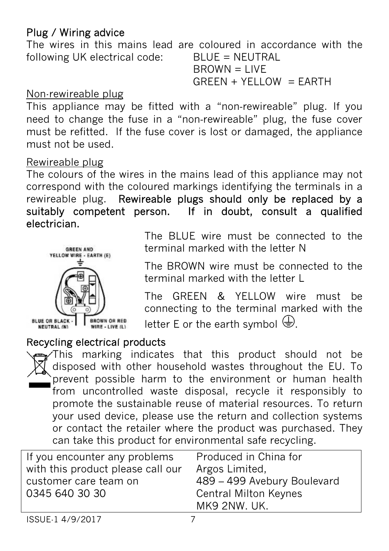### Plug / Wiring advice

The wires in this mains lead are coloured in accordance with the following UK electrical code: BLUE = NEUTRAL  $B$ R $OWN = I$  IVF

 $GREEN + YELLOW = EARTH$ 

#### Non-rewireable plug

This appliance may be fitted with a "non-rewireable" plug. If you need to change the fuse in a "non‐rewireable" plug, the fuse cover must be refitted. If the fuse cover is lost or damaged, the appliance must not be used.

#### Rewireable plug

The colours of the wires in the mains lead of this appliance may not correspond with the coloured markings identifying the terminals in a rewireable plug. Rewireable plugs should only be replaced by a suitably competent person. If in doubt, consult a qualified electrician.



The BLUE wire must be connected to the terminal marked with the letter N

The BROWN wire must be connected to the terminal marked with the letter L

The GREEN & YELLOW wire must be connecting to the terminal marked with the letter E or the earth symbol  $\bigoplus$ .

#### Recycling electrical products

This marking indicates that this product should not be disposed with other household wastes throughout the EU. To prevent possible harm to the environment or human health from uncontrolled waste disposal, recycle it responsibly to promote the sustainable reuse of material resources. To return your used device, please use the return and collection systems or contact the retailer where the product was purchased. They can take this product for environmental safe recycling.

| If you encounter any problems<br>with this product please call our<br>customer care team on | Produced in China for<br>Argos Limited,                                     |
|---------------------------------------------------------------------------------------------|-----------------------------------------------------------------------------|
| 0345 640 30 30                                                                              | 489 - 499 Avebury Boulevard<br><b>Central Milton Keynes</b><br>MK9 2NW. UK. |